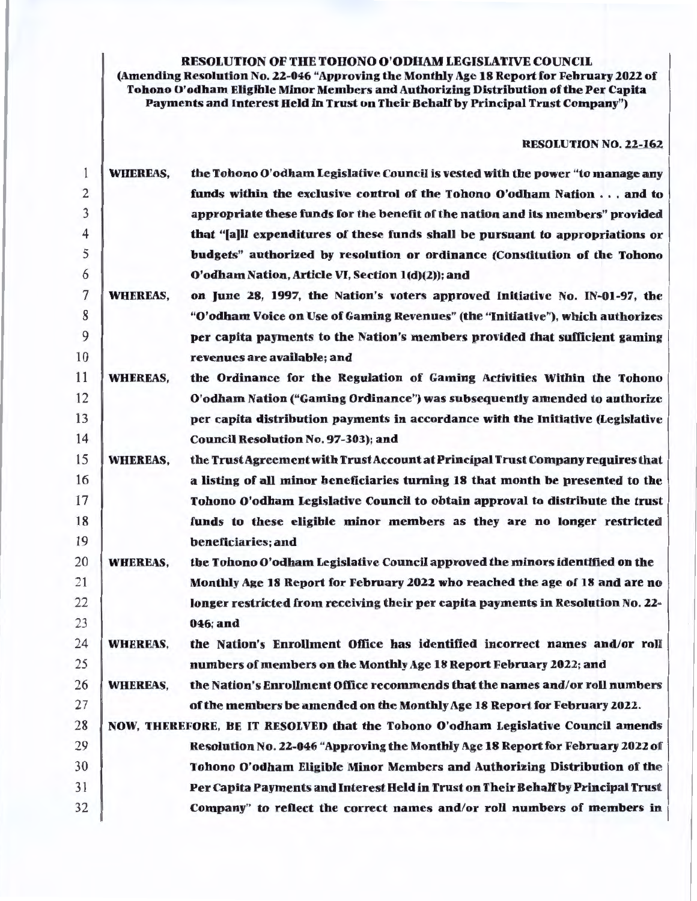RESOLUTION OF THE TOHONO O'ODHAM LEGISLATIVE COUNCIL

(Amending Resolution No. 22-046 "Approving the Monthly Age 18 Report for February 2022 of Tohono O'odham Eligible Minor Members and Authorizing Distribution of the Per Capita Payments and Interest Held in Trust on Their Behalf by Principal Trust Company")

RESOLUTION NO. 22-162

| 1              | <b>WHEREAS,</b> | the Tohono O'odham Legislative Council is vested with the power "to manage any    |
|----------------|-----------------|-----------------------------------------------------------------------------------|
| $\overline{2}$ |                 | funds within the exclusive control of the Tohono O'odham Nation and to            |
| 3              |                 | appropriate these funds for the benefit of the nation and its members" provided   |
| $\overline{4}$ |                 | that "[a]Il expenditures of these funds shall be pursuant to appropriations or    |
| 5              |                 | budgets" authorized by resolution or ordinance (Constitution of the Tohono        |
| 6              |                 | O'odham Nation, Article VI, Section 1(d)(2)); and                                 |
| 7              | <b>WHEREAS,</b> | on June 28, 1997, the Nation's voters approved Initiative No. IN-01-97, the       |
| 8              |                 | "O'odham Voice on Use of Gaming Revenues" (the "Initiative"), which authorizes    |
| 9              |                 | per capita payments to the Nation's members provided that sufficient gaming       |
| 10             |                 | revenues are available; and                                                       |
| 11             | <b>WHEREAS,</b> | the Ordinance for the Regulation of Gaming Activities Within the Tohono           |
| 12             |                 | O'odham Nation ("Gaming Ordinance") was subsequently amended to authorize         |
| 13             |                 | per capita distribution payments in accordance with the Initiative (Legislative   |
| 14             |                 | <b>Council Resolution No. 97-303); and</b>                                        |
| 15             | <b>WHEREAS,</b> | the Trust Agreement with Trust Account at Principal Trust Company requires that   |
| 16             |                 | a listing of all minor beneficiaries turning 18 that month be presented to the    |
| 17             |                 | Tohono O'odham Legislative Council to obtain approval to distribute the trust     |
| 18             |                 | funds to these eligible minor members as they are no longer restricted            |
| 19             |                 | beneficiaries; and                                                                |
| 20             | <b>WHEREAS,</b> | the Tohono O'odham Legislative Council approved the minors identified on the      |
| 21             |                 | Monthly Age 18 Report for February 2022 who reached the age of 18 and are no      |
| 22             |                 | longer restricted from receiving their per capita payments in Resolution No. 22-  |
| 23             |                 | 046; and                                                                          |
| 24             | <b>WHEREAS,</b> | the Nation's Enrollment Office has identified incorrect names and/or roll         |
| 25             |                 | numbers of members on the Monthly Age 18 Report February 2022; and                |
| 26             | <b>WHEREAS,</b> | the Nation's Enrollment Office recommends that the names and/or roll numbers      |
| 27             |                 | of the members be amended on the Monthly Age 18 Report for February 2022.         |
| 28             |                 | NOW, THEREFORE, BE IT RESOLVED that the Tohono O'odham Legislative Council amends |
| 29             |                 | Resolution No. 22-046 "Approving the Monthly Age 18 Report for February 2022 of   |
| 30             |                 | Tohono O'odham Eligible Minor Members and Authorizing Distribution of the         |
| 31             |                 | Per Capita Payments and Interest Held in Trust on Their Behalf by Principal Trust |
| 32             |                 | Company" to reflect the correct names and/or roll numbers of members in           |
|                |                 |                                                                                   |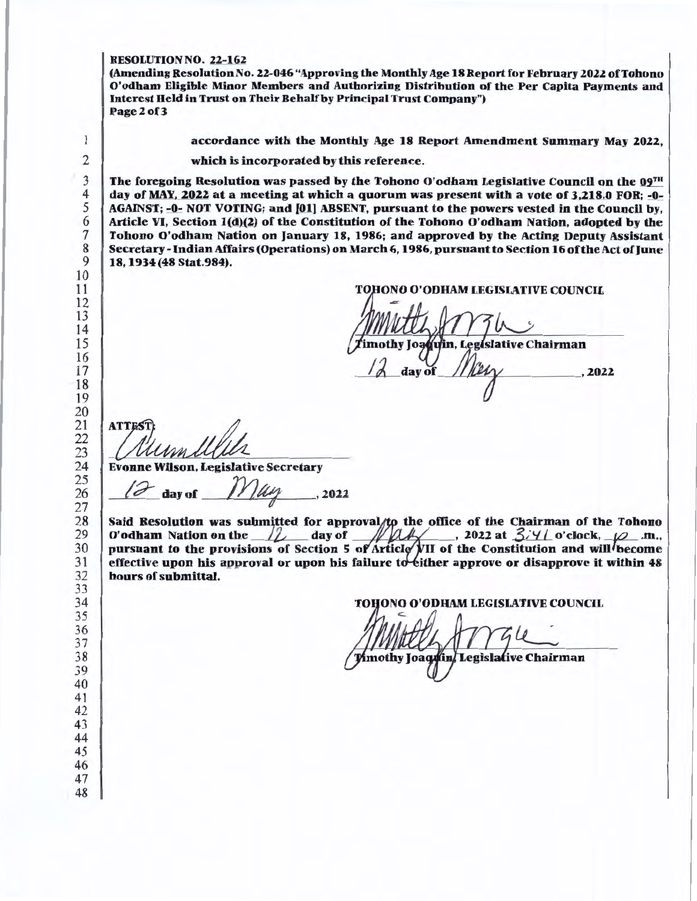### RESOLUTION NO. 22-162

(Amending Resolution No. 22-046 "Approving the Monthly Age 18 Report for February 2022 ofTohono O'odham Eligible Minor Members and Authorizing Distribution of the Per Capita Payments and Interest Held in Trust on Their Behalf by Principal Trust Company") Page 2 of 3

accordance with the Monthly Age 18 Report Amendment Summary May 2022,

which is incorporated by this reference.

The foregoing Resolution was passed by the Tohono O'odham Legislative Council on the  $09<sup>th</sup>$ day of MAY, 2022 at a meeting at which a quorum was present with a vote of 3,218.0 FOR; -0-AGAINST; -0- NOT VOTING; and (01) ABSENT, pursuant to the powers vested in the Council by, Article VI, Section 1(d)(2) of the Constitution of the Tohono O'odham Nation, adopted by the Tohono O'odham Nation on January 18, 1986; and approved by the Acting Deputy Assistant Secretary- Indian Affairs (Operations) on March 6, 1986, pursuant to Section 16 of the Act of June 18, 1934 (48 Stat.984).

ONO O'ODllAM LEGISLATIVE COUNCIL

day of

ATTEST:<br>
MUMMUULL<br>Evonne Wilson, Legislative Secretary

*day of 1/1/44 .* 2022

Said Resolution was submitted for approval/to the office of the Chairman of the Tohono O'odham Nation on the  $\sqrt{2}$  day of  $-M\sqrt{2}$ , 2022 at  $3/4$  o'clock,  $\varphi$  .m., pursuant to the provisions of Section 5 of Article  $\mu$ II of the Constitution and will become effective upon his approval or upon his failure to tither approve or disapprove it within hours of submittal.

TOHONO O'ODHAM LEGISLATIVE COUNCIL

Mmothy Joaquin, Legislative Chairman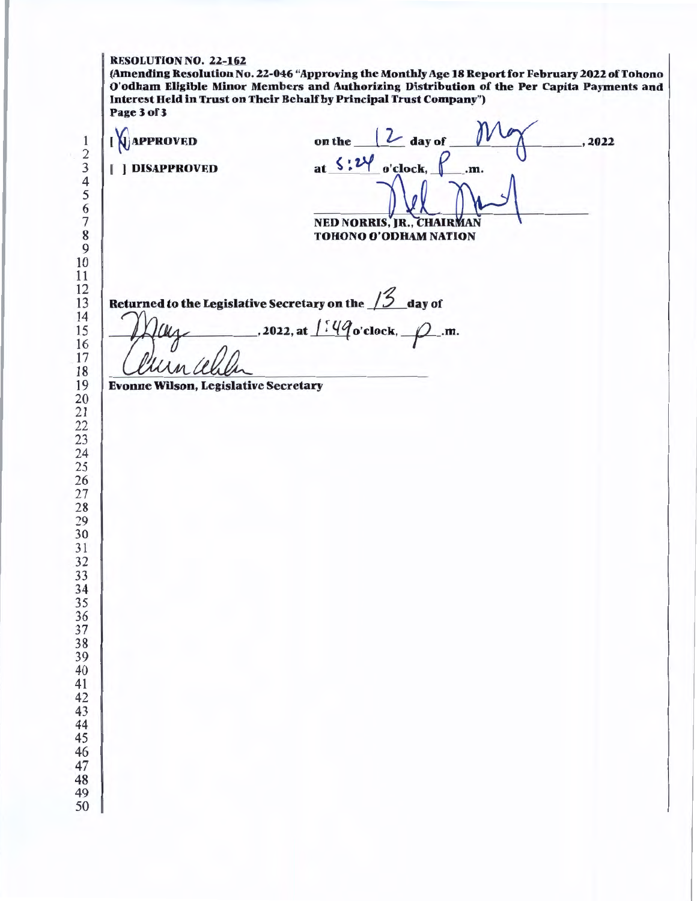# RESOLUTION NO. 22-162

(Amending Resolution No. 22-046 "Approving the Monthly Age 18 Report for February 2022 of Tohono O'odham Eligible Minor Members and Authorizing Distribution of the Per Capita Payments and Interest Held in Trust on Their Behalf by Prlncipal Trust Company") Page3of3

| at $\frac{1}{2}$ : 24 o'clock, $\int$<br><b>NED NORRIS, JR., CHAIRMAN</b><br><b>TOHONO O'ODHAM NATION</b><br>Returned to the Legislative Secretary on the $12$ day of | .m.                                         |  |
|-----------------------------------------------------------------------------------------------------------------------------------------------------------------------|---------------------------------------------|--|
|                                                                                                                                                                       |                                             |  |
| , 2022, at $1:49$ o'clock, $\varphi$ .m.                                                                                                                              |                                             |  |
|                                                                                                                                                                       |                                             |  |
|                                                                                                                                                                       |                                             |  |
|                                                                                                                                                                       |                                             |  |
|                                                                                                                                                                       |                                             |  |
|                                                                                                                                                                       |                                             |  |
|                                                                                                                                                                       |                                             |  |
|                                                                                                                                                                       |                                             |  |
|                                                                                                                                                                       |                                             |  |
|                                                                                                                                                                       |                                             |  |
|                                                                                                                                                                       | <b>Evonne Wilson, Legislative Secretary</b> |  |